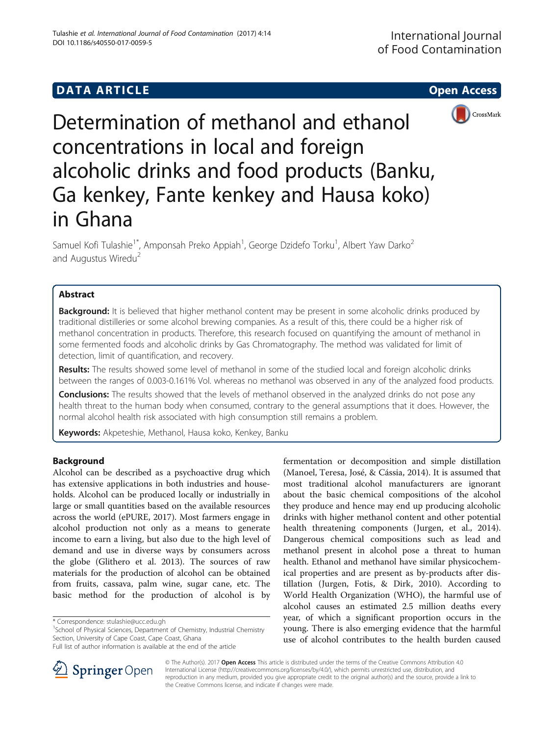# **DATA ARTICLE CONSUMING A RESIDENCE A** CONSUMING A RESIDENCE A CONSUMING A RESIDENCE A CONSUMING A RESIDENCE A CONSUMING A RESIDENCE A CONSUMING A RESIDENCE A CONSUMING A RESIDENCE A CONSUMING A RESIDENCE A CONSUMING A R



Determination of methanol and ethanol concentrations in local and foreign alcoholic drinks and food products (Banku, Ga kenkey, Fante kenkey and Hausa koko) in Ghana

Samuel Kofi Tulashie<sup>1\*</sup>, Amponsah Preko Appiah<sup>1</sup>, George Dzidefo Torku<sup>1</sup>, Albert Yaw Darko<sup>2</sup> and Augustus Wiredu<sup>2</sup>

# Abstract

**Background:** It is believed that higher methanol content may be present in some alcoholic drinks produced by traditional distilleries or some alcohol brewing companies. As a result of this, there could be a higher risk of methanol concentration in products. Therefore, this research focused on quantifying the amount of methanol in some fermented foods and alcoholic drinks by Gas Chromatography. The method was validated for limit of detection, limit of quantification, and recovery.

Results: The results showed some level of methanol in some of the studied local and foreign alcoholic drinks between the ranges of 0.003-0.161% Vol. whereas no methanol was observed in any of the analyzed food products.

Conclusions: The results showed that the levels of methanol observed in the analyzed drinks do not pose any health threat to the human body when consumed, contrary to the general assumptions that it does. However, the normal alcohol health risk associated with high consumption still remains a problem.

Keywords: Akpeteshie, Methanol, Hausa koko, Kenkey, Banku

# Background

Alcohol can be described as a psychoactive drug which has extensive applications in both industries and households. Alcohol can be produced locally or industrially in large or small quantities based on the available resources across the world (ePURE, [2017\)](#page-3-0). Most farmers engage in alcohol production not only as a means to generate income to earn a living, but also due to the high level of demand and use in diverse ways by consumers across the globe (Glithero et al. [2013](#page-4-0)). The sources of raw materials for the production of alcohol can be obtained from fruits, cassava, palm wine, sugar cane, etc. The basic method for the production of alcohol is by

<sup>1</sup>School of Physical Sciences, Department of Chemistry, Industrial Chemistry Section, University of Cape Coast, Cape Coast, Ghana

fermentation or decomposition and simple distillation (Manoel, Teresa, José, & Cássia, [2014\)](#page-4-0). It is assumed that most traditional alcohol manufacturers are ignorant about the basic chemical compositions of the alcohol they produce and hence may end up producing alcoholic drinks with higher methanol content and other potential health threatening components (Jurgen, et al., [2014](#page-4-0)). Dangerous chemical compositions such as lead and methanol present in alcohol pose a threat to human health. Ethanol and methanol have similar physicochemical properties and are present as by-products after distillation (Jurgen, Fotis, & Dirk, [2010\)](#page-4-0). According to World Health Organization (WHO), the harmful use of alcohol causes an estimated 2.5 million deaths every year, of which a significant proportion occurs in the young. There is also emerging evidence that the harmful use of alcohol contributes to the health burden caused



© The Author(s). 2017 **Open Access** This article is distributed under the terms of the Creative Commons Attribution 4.0 International License ([http://creativecommons.org/licenses/by/4.0/\)](http://creativecommons.org/licenses/by/4.0/), which permits unrestricted use, distribution, and reproduction in any medium, provided you give appropriate credit to the original author(s) and the source, provide a link to the Creative Commons license, and indicate if changes were made.

<sup>\*</sup> Correspondence: [stulashie@ucc.edu.gh](mailto:stulashie@ucc.edu.gh) <sup>1</sup>

Full list of author information is available at the end of the article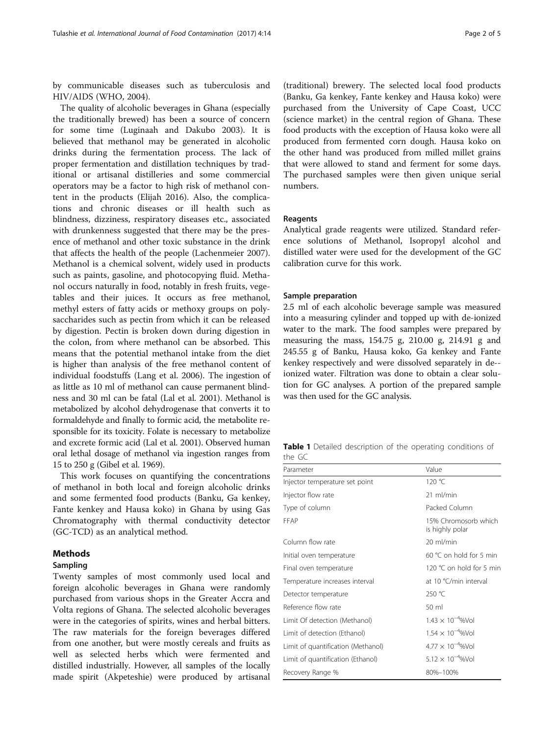<span id="page-1-0"></span>by communicable diseases such as tuberculosis and HIV/AIDS (WHO, [2004](#page-4-0)).

The quality of alcoholic beverages in Ghana (especially the traditionally brewed) has been a source of concern for some time (Luginaah and Dakubo [2003](#page-4-0)). It is believed that methanol may be generated in alcoholic drinks during the fermentation process. The lack of proper fermentation and distillation techniques by traditional or artisanal distilleries and some commercial operators may be a factor to high risk of methanol content in the products (Elijah [2016\)](#page-3-0). Also, the complications and chronic diseases or ill health such as blindness, dizziness, respiratory diseases etc., associated with drunkenness suggested that there may be the presence of methanol and other toxic substance in the drink that affects the health of the people (Lachenmeier [2007](#page-4-0)). Methanol is a chemical solvent, widely used in products such as paints, gasoline, and photocopying fluid. Methanol occurs naturally in food, notably in fresh fruits, vegetables and their juices. It occurs as free methanol, methyl esters of fatty acids or methoxy groups on polysaccharides such as pectin from which it can be released by digestion. Pectin is broken down during digestion in the colon, from where methanol can be absorbed. This means that the potential methanol intake from the diet is higher than analysis of the free methanol content of individual foodstuffs (Lang et al. [2006\)](#page-4-0). The ingestion of as little as 10 ml of methanol can cause permanent blindness and 30 ml can be fatal (Lal et al. [2001\)](#page-4-0). Methanol is metabolized by alcohol dehydrogenase that converts it to formaldehyde and finally to formic acid, the metabolite responsible for its toxicity. Folate is necessary to metabolize and excrete formic acid (Lal et al. [2001](#page-4-0)). Observed human oral lethal dosage of methanol via ingestion ranges from 15 to 250 g (Gibel et al. [1969](#page-3-0)).

This work focuses on quantifying the concentrations of methanol in both local and foreign alcoholic drinks and some fermented food products (Banku, Ga kenkey, Fante kenkey and Hausa koko) in Ghana by using Gas Chromatography with thermal conductivity detector (GC-TCD) as an analytical method.

# Methods

### Sampling

Twenty samples of most commonly used local and foreign alcoholic beverages in Ghana were randomly purchased from various shops in the Greater Accra and Volta regions of Ghana. The selected alcoholic beverages were in the categories of spirits, wines and herbal bitters. The raw materials for the foreign beverages differed from one another, but were mostly cereals and fruits as well as selected herbs which were fermented and distilled industrially. However, all samples of the locally made spirit (Akpeteshie) were produced by artisanal

(traditional) brewery. The selected local food products (Banku, Ga kenkey, Fante kenkey and Hausa koko) were purchased from the University of Cape Coast, UCC (science market) in the central region of Ghana. These food products with the exception of Hausa koko were all produced from fermented corn dough. Hausa koko on the other hand was produced from milled millet grains that were allowed to stand and ferment for some days. The purchased samples were then given unique serial numbers.

#### Reagents

Analytical grade reagents were utilized. Standard reference solutions of Methanol, Isopropyl alcohol and distilled water were used for the development of the GC calibration curve for this work.

#### Sample preparation

2.5 ml of each alcoholic beverage sample was measured into a measuring cylinder and topped up with de-ionized water to the mark. The food samples were prepared by measuring the mass, 154.75 g, 210.00 g, 214.91 g and 245.55 g of Banku, Hausa koko, Ga kenkey and Fante kenkey respectively and were dissolved separately in de- ionized water. Filtration was done to obtain a clear solution for GC analyses. A portion of the prepared sample was then used for the GC analysis.

|        | <b>Table 1</b> Detailed description of the operating conditions of |  |  |
|--------|--------------------------------------------------------------------|--|--|
| the GC |                                                                    |  |  |

| Parameter                          | Value                                   |
|------------------------------------|-----------------------------------------|
| Injector temperature set point     | 120 °C                                  |
| Injector flow rate                 | $21$ ml/min                             |
| Type of column                     | Packed Column                           |
| FFAP                               | 15% Chromosorb which<br>is highly polar |
| Column flow rate                   | 20 ml/min                               |
| Initial oven temperature           | 60 °C on hold for 5 min                 |
| Final oven temperature             | 120 °C on hold for 5 min                |
| Temperature increases interval     | at 10 °C/min interval                   |
| Detector temperature               | 250 °C                                  |
| Reference flow rate                | $50 \mathrm{m}$                         |
| Limit Of detection (Methanol)      | $1.43 \times 10^{-4}$ %Vol              |
| Limit of detection (Ethanol)       | $1.54 \times 10^{-4}$ %Vol              |
| Limit of quantification (Methanol) | $4.77 \times 10^{-4}$ %Vol              |
| Limit of quantification (Ethanol)  | $5.12 \times 10^{-4}$ %Vol              |
| Recovery Range %                   | 80%-100%                                |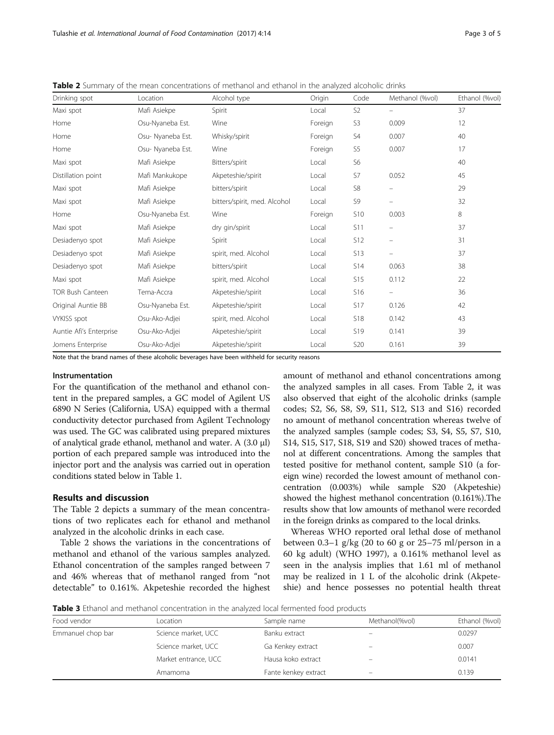| Drinking spot           | Location          | Alcohol type                 | Origin  | Code            | Methanol (%vol)                | Ethanol (%vol) |
|-------------------------|-------------------|------------------------------|---------|-----------------|--------------------------------|----------------|
| Maxi spot               | Mafi Asiekpe      | Spirit                       | Local   | S <sub>2</sub>  | $\qquad \qquad -$              | 37             |
| Home                    | Osu-Nyaneba Est.  | Wine                         | Foreign | S3              | 0.009                          | 12             |
| Home                    | Osu- Nyaneba Est. | Whisky/spirit                | Foreign | S <sub>4</sub>  | 0.007                          | 40             |
| Home                    | Osu- Nyaneba Est. | Wine                         | Foreign | S <sub>5</sub>  | 0.007                          | 17             |
| Maxi spot               | Mafi Asiekpe      | Bitters/spirit               | Local   | S <sub>6</sub>  |                                | 40             |
| Distillation point      | Mafi Mankukope    | Akpeteshie/spirit            | Local   | S7              | 0.052                          | 45             |
| Maxi spot               | Mafi Asiekpe      | bitters/spirit               | Local   | S8              | $\qquad \qquad \qquad \qquad$  | 29             |
| Maxi spot               | Mafi Asiekpe      | bitters/spirit, med. Alcohol | Local   | S <sub>9</sub>  | $\qquad \qquad -$              | 32             |
| Home                    | Osu-Nyaneba Est.  | Wine                         | Foreign | <b>S10</b>      | 0.003                          | 8              |
| Maxi spot               | Mafi Asiekpe      | dry gin/spirit               | Local   | S11             | $\qquad \qquad \qquad \qquad$  | 37             |
| Desiadenyo spot         | Mafi Asiekpe      | Spirit                       | Local   | <b>S12</b>      | $\qquad \qquad \longleftarrow$ | 31             |
| Desiadenyo spot         | Mafi Asiekpe      | spirit, med. Alcohol         | Local   | S <sub>13</sub> | $\qquad \qquad -$              | 37             |
| Desiadenyo spot         | Mafi Asiekpe      | bitters/spirit               | Local   | <b>S14</b>      | 0.063                          | 38             |
| Maxi spot               | Mafi Asiekpe      | spirit, med. Alcohol         | Local   | S <sub>15</sub> | 0.112                          | 22             |
| <b>TOR Bush Canteen</b> | Tema-Accra        | Akpeteshie/spirit            | Local   | S <sub>16</sub> | $\overline{\phantom{m}}$       | 36             |
| Original Auntie BB      | Osu-Nyaneba Est.  | Akpeteshie/spirit            | Local   | <b>S17</b>      | 0.126                          | 42             |
| <b>VYKISS</b> spot      | Osu-Ako-Adjei     | spirit, med. Alcohol         | Local   | <b>S18</b>      | 0.142                          | 43             |
| Auntie Afi's Enterprise | Osu-Ako-Adjei     | Akpeteshie/spirit            | Local   | S19             | 0.141                          | 39             |
| Jomens Enterprise       | Osu-Ako-Adjei     | Akpeteshie/spirit            | Local   | <b>S20</b>      | 0.161                          | 39             |

<span id="page-2-0"></span>Table 2 Summary of the mean concentrations of methanol and ethanol in the analyzed alcoholic drinks

Note that the brand names of these alcoholic beverages have been withheld for security reasons

#### Instrumentation

For the quantification of the methanol and ethanol content in the prepared samples, a GC model of Agilent US 6890 N Series (California, USA) equipped with a thermal conductivity detector purchased from Agilent Technology was used. The GC was calibrated using prepared mixtures of analytical grade ethanol, methanol and water. A (3.0 μl) portion of each prepared sample was introduced into the injector port and the analysis was carried out in operation conditions stated below in Table [1](#page-1-0).

## Results and discussion

The Table 2 depicts a summary of the mean concentrations of two replicates each for ethanol and methanol analyzed in the alcoholic drinks in each case.

Table 2 shows the variations in the concentrations of methanol and ethanol of the various samples analyzed. Ethanol concentration of the samples ranged between 7 and 46% whereas that of methanol ranged from "not detectable" to 0.161%. Akpeteshie recorded the highest

amount of methanol and ethanol concentrations among the analyzed samples in all cases. From Table 2, it was also observed that eight of the alcoholic drinks (sample codes; S2, S6, S8, S9, S11, S12, S13 and S16) recorded no amount of methanol concentration whereas twelve of the analyzed samples (sample codes; S3, S4, S5, S7, S10, S14, S15, S17, S18, S19 and S20) showed traces of methanol at different concentrations. Among the samples that tested positive for methanol content, sample S10 (a foreign wine) recorded the lowest amount of methanol concentration (0.003%) while sample S20 (Akpeteshie) showed the highest methanol concentration (0.161%).The results show that low amounts of methanol were recorded in the foreign drinks as compared to the local drinks.

Whereas WHO reported oral lethal dose of methanol between 0.3–1 g/kg (20 to 60 g or 25–75 ml/person in a 60 kg adult) (WHO [1997](#page-4-0)), a 0.161% methanol level as seen in the analysis implies that 1.61 ml of methanol may be realized in 1 L of the alcoholic drink (Akpeteshie) and hence possesses no potential health threat

**Table 3** Ethanol and methanol concentration in the analyzed local fermented food products

| Food vendor       | Location             | Sample name          | Methanol(%vol) | Ethanol (%vol) |
|-------------------|----------------------|----------------------|----------------|----------------|
| Emmanuel chop bar | Science market, UCC  | Banku extract        |                | 0.0297         |
|                   | Science market, UCC  | Ga Kenkey extract    | -              | 0.007          |
|                   | Market entrance, UCC | Hausa koko extract   |                | 0.0141         |
|                   | Amamoma              | Fante kenkey extract |                | 0.139          |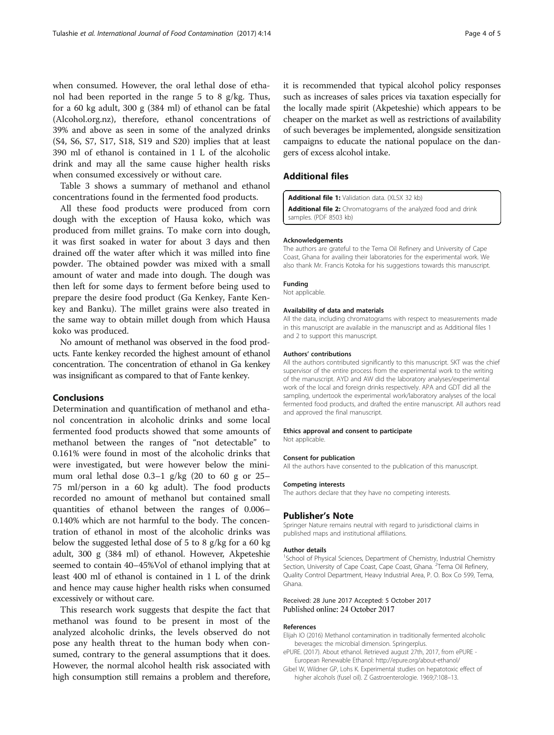<span id="page-3-0"></span>when consumed. However, the oral lethal dose of ethanol had been reported in the range 5 to 8 g/kg. Thus, for a 60 kg adult, 300 g (384 ml) of ethanol can be fatal ([Alcohol.org.nz](http://alcohol.org.nz)), therefore, ethanol concentrations of 39% and above as seen in some of the analyzed drinks (S4, S6, S7, S17, S18, S19 and S20) implies that at least 390 ml of ethanol is contained in 1 L of the alcoholic drink and may all the same cause higher health risks when consumed excessively or without care.

Table [3](#page-2-0) shows a summary of methanol and ethanol concentrations found in the fermented food products.

All these food products were produced from corn dough with the exception of Hausa koko, which was produced from millet grains. To make corn into dough, it was first soaked in water for about 3 days and then drained off the water after which it was milled into fine powder. The obtained powder was mixed with a small amount of water and made into dough. The dough was then left for some days to ferment before being used to prepare the desire food product (Ga Kenkey, Fante Kenkey and Banku). The millet grains were also treated in the same way to obtain millet dough from which Hausa koko was produced.

No amount of methanol was observed in the food products. Fante kenkey recorded the highest amount of ethanol concentration. The concentration of ethanol in Ga kenkey was insignificant as compared to that of Fante kenkey.

### Conclusions

Determination and quantification of methanol and ethanol concentration in alcoholic drinks and some local fermented food products showed that some amounts of methanol between the ranges of "not detectable" to 0.161% were found in most of the alcoholic drinks that were investigated, but were however below the minimum oral lethal dose 0.3–1 g/kg (20 to 60 g or 25– 75 ml/person in a 60 kg adult). The food products recorded no amount of methanol but contained small quantities of ethanol between the ranges of 0.006– 0.140% which are not harmful to the body. The concentration of ethanol in most of the alcoholic drinks was below the suggested lethal dose of 5 to 8 g/kg for a 60 kg adult, 300 g (384 ml) of ethanol. However, Akpeteshie seemed to contain 40–45%Vol of ethanol implying that at least 400 ml of ethanol is contained in 1 L of the drink and hence may cause higher health risks when consumed excessively or without care.

This research work suggests that despite the fact that methanol was found to be present in most of the analyzed alcoholic drinks, the levels observed do not pose any health threat to the human body when consumed, contrary to the general assumptions that it does. However, the normal alcohol health risk associated with high consumption still remains a problem and therefore, it is recommended that typical alcohol policy responses such as increases of sales prices via taxation especially for the locally made spirit (Akpeteshie) which appears to be cheaper on the market as well as restrictions of availability of such beverages be implemented, alongside sensitization campaigns to educate the national populace on the dangers of excess alcohol intake.

### Additional files

[Additional file 1:](dx.doi.org/10.1186/s40550-017-0059-5) Validation data. (XLSX 32 kb)

[Additional file 2:](dx.doi.org/10.1186/s40550-017-0059-5) Chromatograms of the analyzed food and drink samples. (PDF 8503 kb)

#### Acknowledgements

The authors are grateful to the Tema Oil Refinery and University of Cape Coast, Ghana for availing their laboratories for the experimental work. We also thank Mr. Francis Kotoka for his suggestions towards this manuscript.

#### Funding

Not applicable.

#### Availability of data and materials

All the data, including chromatograms with respect to measurements made in this manuscript are available in the manuscript and as Additional files 1 and 2 to support this manuscript.

#### Authors' contributions

All the authors contributed significantly to this manuscript. SKT was the chief supervisor of the entire process from the experimental work to the writing of the manuscript. AYD and AW did the laboratory analyses/experimental work of the local and foreign drinks respectively. APA and GDT did all the sampling, undertook the experimental work/laboratory analyses of the local fermented food products, and drafted the entire manuscript. All authors read and approved the final manuscript.

#### Ethics approval and consent to participate Not applicable.

#### Consent for publication

All the authors have consented to the publication of this manuscript.

#### Competing interests

The authors declare that they have no competing interests.

#### Publisher's Note

Springer Nature remains neutral with regard to jurisdictional claims in published maps and institutional affiliations.

#### Author details

<sup>1</sup>School of Physical Sciences, Department of Chemistry, Industrial Chemistry Section, University of Cape Coast, Cape Coast, Ghana. <sup>2</sup>Tema Oil Refinery Quality Control Department, Heavy Industrial Area, P. O. Box Co 599, Tema, Ghana.

#### Received: 28 June 2017 Accepted: 5 October 2017 Published online: 24 October 2017

#### References

- Elijah IO (2016) Methanol contamination in traditionally fermented alcoholic beverages: the microbial dimension. Springerplus.
- ePURE. (2017). About ethanol. Retrieved august 27th, 2017, from ePURE European Renewable Ethanol: http://epure.org/about-ethanol/
- Gibel W, Wildner GP, Lohs K. Experimental studies on hepatotoxic effect of higher alcohols (fusel oil). Z Gastroenterologie. 1969;7:108–13.